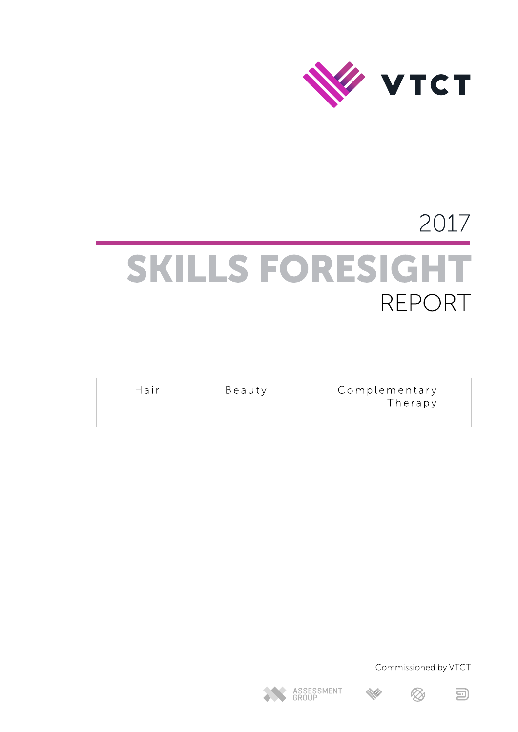

# 2017 SKILLS FORESIGHT REPORT

Hair

Beauty

Complementary Therapy

Commissioned by VTCT







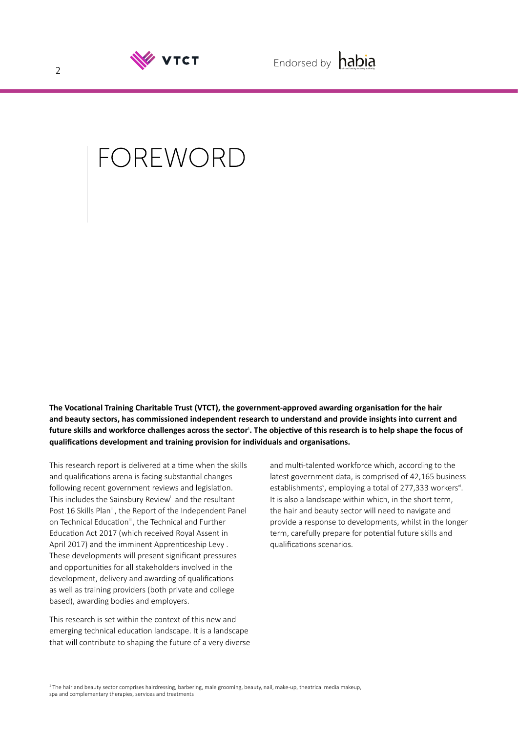

## FOREWORD

**The Vocational Training Charitable Trust (VTCT), the government-approved awarding organisation for the hair and beauty sectors, has commissioned independent research to understand and provide insights into current and future skills and workforce challenges across the sector<sup>1</sup> . The objective of this research is to help shape the focus of qualifications development and training provision for individuals and organisations.** 

This research report is delivered at a time when the skills and qualifications arena is facing substantial changes following recent government reviews and legislation. This includes the Sainsbury Review<sup>i</sup> and the resultant Post 16 Skills Plan<sup>i</sup>, the Report of the Independent Panel on Technical Education<sup>ii</sup>, the Technical and Further Education Act 2017 (which received Royal Assent in April 2017) and the imminent Apprenticeship Levy . These developments will present significant pressures and opportunities for all stakeholders involved in the development, delivery and awarding of qualifications as well as training providers (both private and college based), awarding bodies and employers.

This research is set within the context of this new and emerging technical education landscape. It is a landscape that will contribute to shaping the future of a very diverse and multi-talented workforce which, according to the latest government data, is comprised of 42,165 business establishments<sup>y</sup>, employing a total of 277,333 workers<sup>vi</sup>. It is also a landscape within which, in the short term, the hair and beauty sector will need to navigate and provide a response to developments, whilst in the longer term, carefully prepare for potential future skills and qualifications scenarios.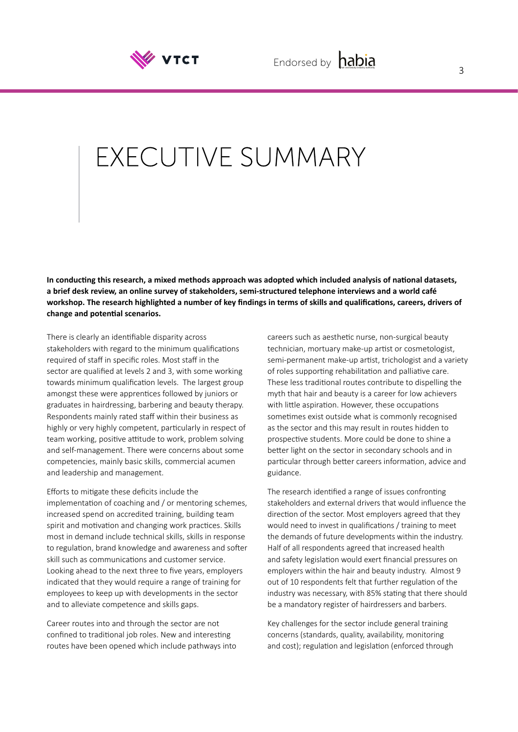

## EXECUTIVE SUMMARY

**In conducting this research, a mixed methods approach was adopted which included analysis of national datasets, a brief desk review, an online survey of stakeholders, semi-structured telephone interviews and a world café workshop. The research highlighted a number of key findings in terms of skills and qualifications, careers, drivers of change and potential scenarios.**

There is clearly an identifiable disparity across stakeholders with regard to the minimum qualifications required of staff in specific roles. Most staff in the sector are qualified at levels 2 and 3, with some working towards minimum qualification levels. The largest group amongst these were apprentices followed by juniors or graduates in hairdressing, barbering and beauty therapy. Respondents mainly rated staff within their business as highly or very highly competent, particularly in respect of team working, positive attitude to work, problem solving and self-management. There were concerns about some competencies, mainly basic skills, commercial acumen and leadership and management.

Efforts to mitigate these deficits include the implementation of coaching and / or mentoring schemes, increased spend on accredited training, building team spirit and motivation and changing work practices. Skills most in demand include technical skills, skills in response to regulation, brand knowledge and awareness and softer skill such as communications and customer service. Looking ahead to the next three to five years, employers indicated that they would require a range of training for employees to keep up with developments in the sector and to alleviate competence and skills gaps.

Career routes into and through the sector are not confined to traditional job roles. New and interesting routes have been opened which include pathways into careers such as aesthetic nurse, non-surgical beauty technician, mortuary make-up artist or cosmetologist, semi-permanent make-up artist, trichologist and a variety of roles supporting rehabilitation and palliative care. These less traditional routes contribute to dispelling the myth that hair and beauty is a career for low achievers with little aspiration. However, these occupations sometimes exist outside what is commonly recognised as the sector and this may result in routes hidden to prospective students. More could be done to shine a better light on the sector in secondary schools and in particular through better careers information, advice and guidance.

The research identified a range of issues confronting stakeholders and external drivers that would influence the direction of the sector. Most employers agreed that they would need to invest in qualifications / training to meet the demands of future developments within the industry. Half of all respondents agreed that increased health and safety legislation would exert financial pressures on employers within the hair and beauty industry. Almost 9 out of 10 respondents felt that further regulation of the industry was necessary, with 85% stating that there should be a mandatory register of hairdressers and barbers.

Key challenges for the sector include general training concerns (standards, quality, availability, monitoring and cost); regulation and legislation (enforced through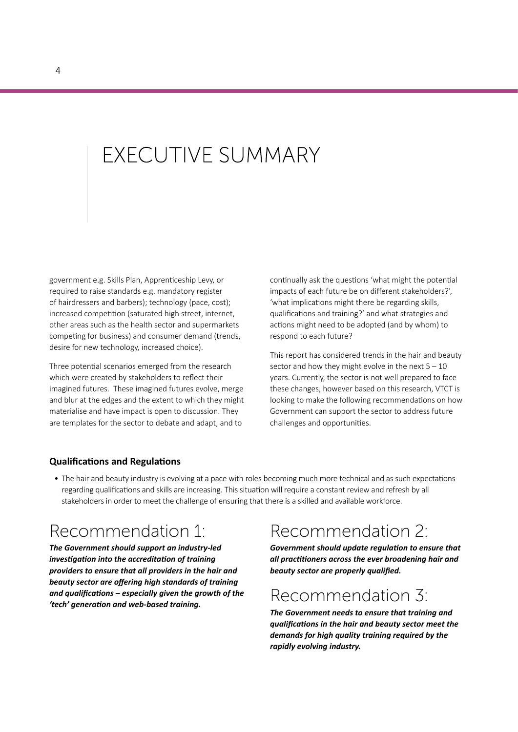## **FXFCUTIVE SUMMARY**

government e.g. Skills Plan, Apprenticeship Levy, or required to raise standards e.g. mandatory register of hairdressers and barbers); technology (pace, cost); increased competition (saturated high street, internet, other areas such as the health sector and supermarkets competing for business) and consumer demand (trends, desire for new technology, increased choice).

Three potential scenarios emerged from the research which were created by stakeholders to reflect their imagined futures. These imagined futures evolve, merge and blur at the edges and the extent to which they might materialise and have impact is open to discussion. They are templates for the sector to debate and adapt, and to

continually ask the questions 'what might the potential impacts of each future be on different stakeholders?', 'what implications might there be regarding skills, qualifications and training?' and what strategies and actions might need to be adopted (and by whom) to respond to each future?

This report has considered trends in the hair and beauty sector and how they might evolve in the next  $5 - 10$ years. Currently, the sector is not well prepared to face these changes, however based on this research, VTCT is looking to make the following recommendations on how Government can support the sector to address future challenges and opportunities.

#### **Qualifications and Regulations**

• The hair and beauty industry is evolving at a pace with roles becoming much more technical and as such expectations regarding qualifications and skills are increasing. This situation will require a constant review and refresh by all stakeholders in order to meet the challenge of ensuring that there is a skilled and available workforce.

### Recommendation 1:

*The Government should support an industry-led investigation into the accreditation of training providers to ensure that all providers in the hair and beauty sector are offering high standards of training and qualifications – especially given the growth of the 'tech' generation and web-based training.* 

## Recommendation 2:

*Government should update regulation to ensure that all practitioners across the ever broadening hair and beauty sector are properly qualified.* 

### Recommendation 3:

*The Government needs to ensure that training and qualifications in the hair and beauty sector meet the demands for high quality training required by the rapidly evolving industry.*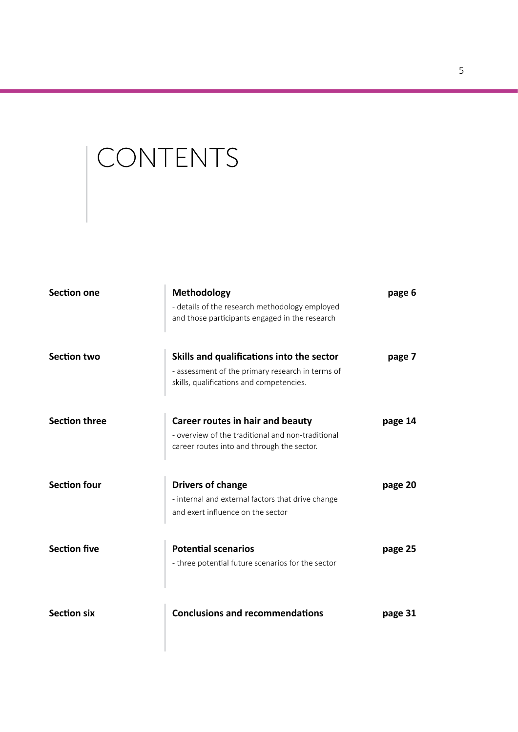# CONTENTS

| Section one          | Methodology<br>- details of the research methodology employed<br>and those participants engaged in the research                           | page 6  |
|----------------------|-------------------------------------------------------------------------------------------------------------------------------------------|---------|
| <b>Section two</b>   | Skills and qualifications into the sector<br>- assessment of the primary research in terms of<br>skills, qualifications and competencies. | page 7  |
| <b>Section three</b> | Career routes in hair and beauty<br>- overview of the traditional and non-traditional<br>career routes into and through the sector.       | page 14 |
| <b>Section four</b>  | <b>Drivers of change</b><br>- internal and external factors that drive change<br>and exert influence on the sector                        | page 20 |
| <b>Section five</b>  | <b>Potential scenarios</b><br>- three potential future scenarios for the sector                                                           | page 25 |
| <b>Section six</b>   | <b>Conclusions and recommendations</b>                                                                                                    | page 31 |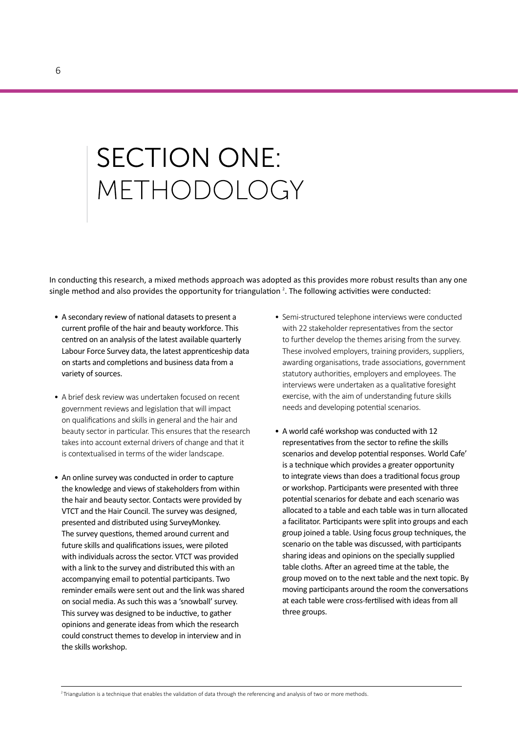# **SECTION ONE:** METHODOLOGY

In conducting this research, a mixed methods approach was adopted as this provides more robust results than any one single method and also provides the opportunity for triangulation <sup>2</sup>. The following activities were conducted:

- A secondary review of national datasets to present a current profile of the hair and beauty workforce. This centred on an analysis of the latest available quarterly Labour Force Survey data, the latest apprenticeship data on starts and completions and business data from a variety of sources.
- A brief desk review was undertaken focused on recent government reviews and legislation that will impact on qualifications and skills in general and the hair and beauty sector in particular. This ensures that the research takes into account external drivers of change and that it is contextualised in terms of the wider landscape.
- An online survey was conducted in order to capture the knowledge and views of stakeholders from within the hair and beauty sector. Contacts were provided by VTCT and the Hair Council. The survey was designed, presented and distributed using SurveyMonkey. The survey questions, themed around current and future skills and qualifications issues, were piloted with individuals across the sector. VTCT was provided with a link to the survey and distributed this with an accompanying email to potential participants. Two reminder emails were sent out and the link was shared on social media. As such this was a 'snowball' survey. This survey was designed to be inductive, to gather opinions and generate ideas from which the research could construct themes to develop in interview and in the skills workshop.
- Semi-structured telephone interviews were conducted with 22 stakeholder representatives from the sector to further develop the themes arising from the survey. These involved employers, training providers, suppliers, awarding organisations, trade associations, government statutory authorities, employers and employees. The interviews were undertaken as a qualitative foresight exercise, with the aim of understanding future skills needs and developing potential scenarios.
- A world café workshop was conducted with 12 representatives from the sector to refine the skills scenarios and develop potential responses. World Cafe' is a technique which provides a greater opportunity to integrate views than does a traditional focus group or workshop. Participants were presented with three potential scenarios for debate and each scenario was allocated to a table and each table was in turn allocated a facilitator. Participants were split into groups and each group joined a table. Using focus group techniques, the scenario on the table was discussed, with participants sharing ideas and opinions on the specially supplied table cloths. After an agreed time at the table, the group moved on to the next table and the next topic. By moving participants around the room the conversations at each table were cross-fertilised with ideas from all three groups.

<sup>2</sup> Triangulation is a technique that enables the validation of data through the referencing and analysis of two or more methods.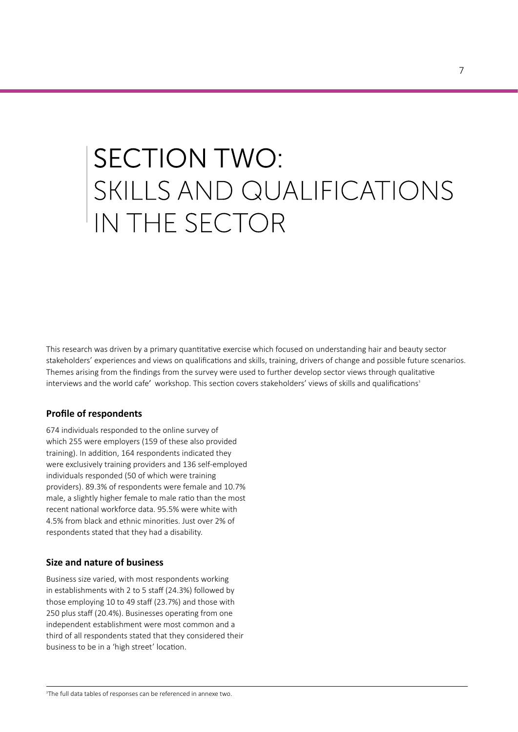## **SECTION TWO:** SKILLS AND QUALIFICATIONS IN THE SECTOR

This research was driven by a primary quantitative exercise which focused on understanding hair and beauty sector stakeholders' experiences and views on qualifications and skills, training, drivers of change and possible future scenarios. Themes arising from the findings from the survey were used to further develop sector views through qualitative interviews and the world cafe' workshop. This section covers stakeholders' views of skills and qualifications<sup>3</sup>

#### **Profile of respondents**

674 individuals responded to the online survey of which 255 were employers (159 of these also provided training). In addition, 164 respondents indicated they were exclusively training providers and 136 self-employed individuals responded (50 of which were training providers). 89.3% of respondents were female and 10.7% male, a slightly higher female to male ratio than the most recent national workforce data. 95.5% were white with 4.5% from black and ethnic minorities. Just over 2% of respondents stated that they had a disability.

#### **Size and nature of business**

Business size varied, with most respondents working in establishments with 2 to 5 staff (24.3%) followed by those employing 10 to 49 staff (23.7%) and those with 250 plus staff (20.4%). Businesses operating from one independent establishment were most common and a third of all respondents stated that they considered their business to be in a 'high street' location.

7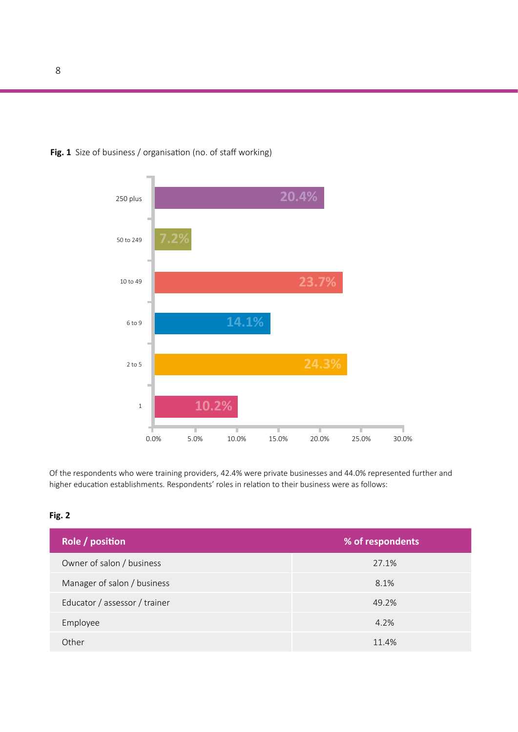

#### **Fig. 1** Size of business / organisation (no. of staff working)

Of the respondents who were training providers, 42.4% were private businesses and 44.0% represented further and higher education establishments. Respondents' roles in relation to their business were as follows:

#### **Fig. 2**

| Role / position               | % of respondents |
|-------------------------------|------------------|
| Owner of salon / business     | 27.1%            |
| Manager of salon / business   | 8.1%             |
| Educator / assessor / trainer | 49.2%            |
| Employee                      | 4.2%             |
| Other                         | 11.4%            |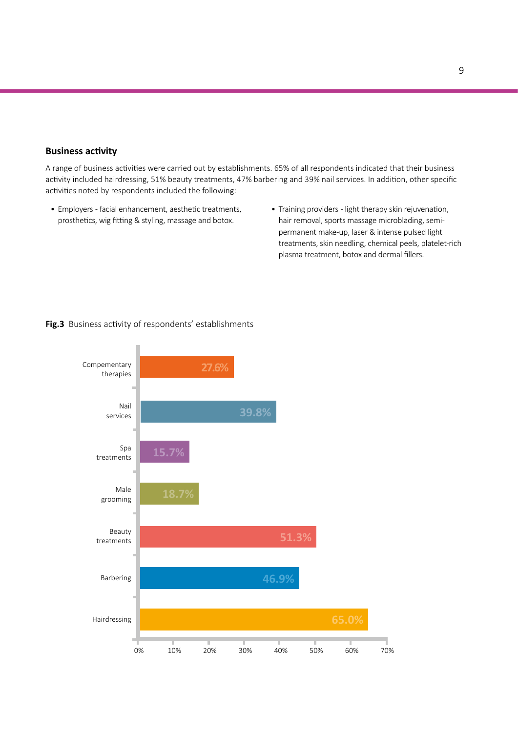#### **Business activity**

A range of business activities were carried out by establishments. 65% of all respondents indicated that their business activity included hairdressing, 51% beauty treatments, 47% barbering and 39% nail services. In addition, other specific activities noted by respondents included the following:

- Employers facial enhancement, aesthetic treatments, prosthetics, wig fitting & styling, massage and botox.
- Training providers light therapy skin rejuvenation, hair removal, sports massage microblading, semipermanent make-up, laser & intense pulsed light treatments, skin needling, chemical peels, platelet-rich plasma treatment, botox and dermal fillers.

#### **Fig.3** Business activity of respondents' establishments

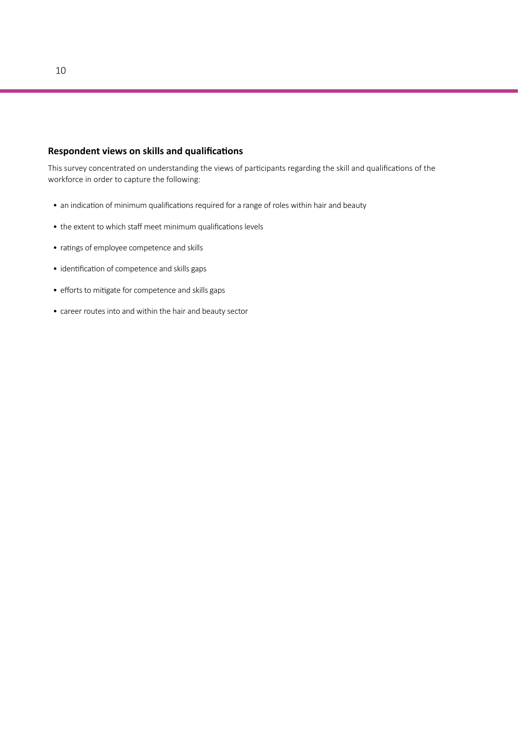#### **Respondent views on skills and qualifications**

This survey concentrated on understanding the views of participants regarding the skill and qualifications of the workforce in order to capture the following:

- an indication of minimum qualifications required for a range of roles within hair and beauty
- the extent to which staff meet minimum qualifications levels
- ratings of employee competence and skills
- identification of competence and skills gaps
- efforts to mitigate for competence and skills gaps
- career routes into and within the hair and beauty sector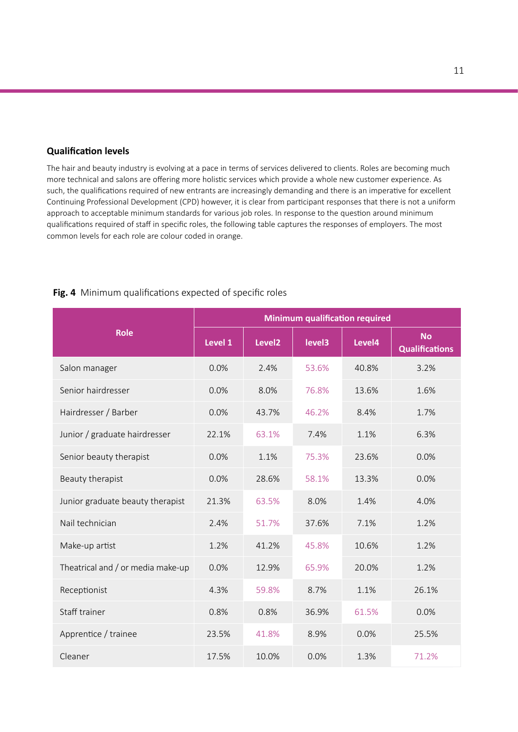#### **Qualification levels**

The hair and beauty industry is evolving at a pace in terms of services delivered to clients. Roles are becoming much more technical and salons are offering more holistic services which provide a whole new customer experience. As such, the qualifications required of new entrants are increasingly demanding and there is an imperative for excellent Continuing Professional Development (CPD) however, it is clear from participant responses that there is not a uniform approach to acceptable minimum standards for various job roles. In response to the question around minimum qualifications required of staff in specific roles, the following table captures the responses of employers. The most common levels for each role are colour coded in orange.

#### **Fig. 4** Minimum qualifications expected of specific roles

|                                   | <b>Minimum qualification required</b> |                    |        |        |                                    |
|-----------------------------------|---------------------------------------|--------------------|--------|--------|------------------------------------|
| <b>Role</b>                       | Level 1                               | Level <sub>2</sub> | level3 | Level4 | <b>No</b><br><b>Qualifications</b> |
| Salon manager                     | 0.0%                                  | 2.4%               | 53.6%  | 40.8%  | 3.2%                               |
| Senior hairdresser                | 0.0%                                  | 8.0%               | 76.8%  | 13.6%  | 1.6%                               |
| Hairdresser / Barber              | 0.0%                                  | 43.7%              | 46.2%  | 8.4%   | 1.7%                               |
| Junior / graduate hairdresser     | 22.1%                                 | 63.1%              | 7.4%   | 1.1%   | 6.3%                               |
| Senior beauty therapist           | 0.0%                                  | 1.1%               | 75.3%  | 23.6%  | 0.0%                               |
| Beauty therapist                  | 0.0%                                  | 28.6%              | 58.1%  | 13.3%  | 0.0%                               |
| Junior graduate beauty therapist  | 21.3%                                 | 63.5%              | 8.0%   | 1.4%   | 4.0%                               |
| Nail technician                   | 2.4%                                  | 51.7%              | 37.6%  | 7.1%   | 1.2%                               |
| Make-up artist                    | 1.2%                                  | 41.2%              | 45.8%  | 10.6%  | 1.2%                               |
| Theatrical and / or media make-up | 0.0%                                  | 12.9%              | 65.9%  | 20.0%  | 1.2%                               |
| Receptionist                      | 4.3%                                  | 59.8%              | 8.7%   | 1.1%   | 26.1%                              |
| Staff trainer                     | 0.8%                                  | 0.8%               | 36.9%  | 61.5%  | 0.0%                               |
| Apprentice / trainee              | 23.5%                                 | 41.8%              | 8.9%   | 0.0%   | 25.5%                              |
| Cleaner                           | 17.5%                                 | 10.0%              | 0.0%   | 1.3%   | 71.2%                              |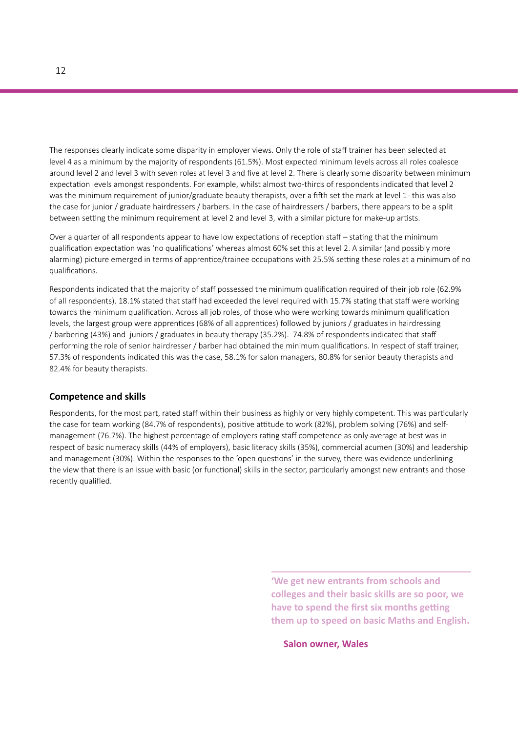The responses clearly indicate some disparity in employer views. Only the role of staff trainer has been selected at level 4 as a minimum by the majority of respondents (61.5%). Most expected minimum levels across all roles coalesce around level 2 and level 3 with seven roles at level 3 and five at level 2. There is clearly some disparity between minimum expectation levels amongst respondents. For example, whilst almost two-thirds of respondents indicated that level 2 was the minimum requirement of junior/graduate beauty therapists, over a fifth set the mark at level 1- this was also the case for junior / graduate hairdressers / barbers. In the case of hairdressers / barbers, there appears to be a split between setting the minimum requirement at level 2 and level 3, with a similar picture for make-up artists.

Over a quarter of all respondents appear to have low expectations of reception staff – stating that the minimum qualification expectation was 'no qualifications' whereas almost 60% set this at level 2. A similar (and possibly more alarming) picture emerged in terms of apprentice/trainee occupations with 25.5% setting these roles at a minimum of no qualifications.

Respondents indicated that the majority of staff possessed the minimum qualification required of their job role (62.9% of all respondents). 18.1% stated that staff had exceeded the level required with 15.7% stating that staff were working towards the minimum qualification. Across all job roles, of those who were working towards minimum qualification levels, the largest group were apprentices (68% of all apprentices) followed by juniors / graduates in hairdressing / barbering (43%) and juniors / graduates in beauty therapy (35.2%). 74.8% of respondents indicated that staff performing the role of senior hairdresser / barber had obtained the minimum qualifications. In respect of staff trainer, 57.3% of respondents indicated this was the case, 58.1% for salon managers, 80.8% for senior beauty therapists and 82.4% for beauty therapists.

#### **Competence and skills**

Respondents, for the most part, rated staff within their business as highly or very highly competent. This was particularly the case for team working (84.7% of respondents), positive attitude to work (82%), problem solving (76%) and selfmanagement (76.7%). The highest percentage of employers rating staff competence as only average at best was in respect of basic numeracy skills (44% of employers), basic literacy skills (35%), commercial acumen (30%) and leadership and management (30%). Within the responses to the 'open questions' in the survey, there was evidence underlining the view that there is an issue with basic (or functional) skills in the sector, particularly amongst new entrants and those recently qualified.

> **'We get new entrants from schools and colleges and their basic skills are so poor, we have to spend the first six months getting them up to speed on basic Maths and English.**

**Salon owner, Wales**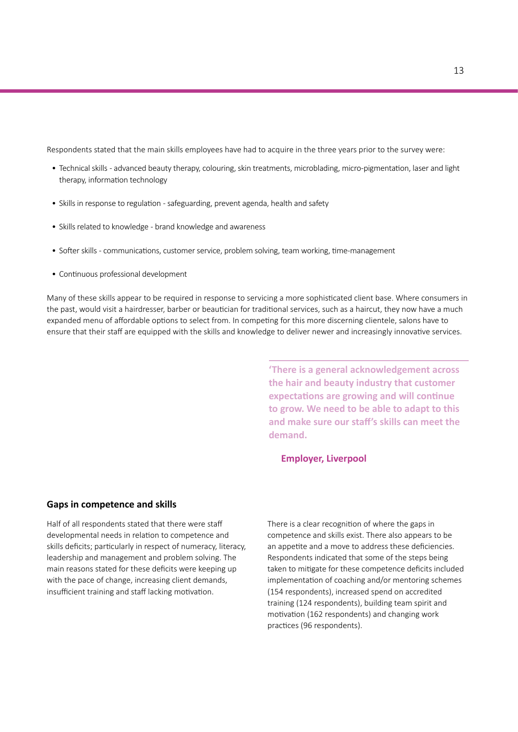Respondents stated that the main skills employees have had to acquire in the three years prior to the survey were:

- Technical skills advanced beauty therapy, colouring, skin treatments, microblading, micro-pigmentation, laser and light therapy, information technology
- Skills in response to regulation safeguarding, prevent agenda, health and safety
- Skills related to knowledge brand knowledge and awareness
- Softer skills communications, customer service, problem solving, team working, time-management
- Continuous professional development

Many of these skills appear to be required in response to servicing a more sophisticated client base. Where consumers in the past, would visit a hairdresser, barber or beautician for traditional services, such as a haircut, they now have a much expanded menu of affordable options to select from. In competing for this more discerning clientele, salons have to ensure that their staff are equipped with the skills and knowledge to deliver newer and increasingly innovative services.

> **'There is a general acknowledgement across the hair and beauty industry that customer expectations are growing and will continue to grow. We need to be able to adapt to this and make sure our staff's skills can meet the demand.**

#### **Employer, Liverpool**

#### **Gaps in competence and skills**

Half of all respondents stated that there were staff developmental needs in relation to competence and skills deficits; particularly in respect of numeracy, literacy, leadership and management and problem solving. The main reasons stated for these deficits were keeping up with the pace of change, increasing client demands, insufficient training and staff lacking motivation.

There is a clear recognition of where the gaps in competence and skills exist. There also appears to be an appetite and a move to address these deficiencies. Respondents indicated that some of the steps being taken to mitigate for these competence deficits included implementation of coaching and/or mentoring schemes (154 respondents), increased spend on accredited training (124 respondents), building team spirit and motivation (162 respondents) and changing work practices (96 respondents).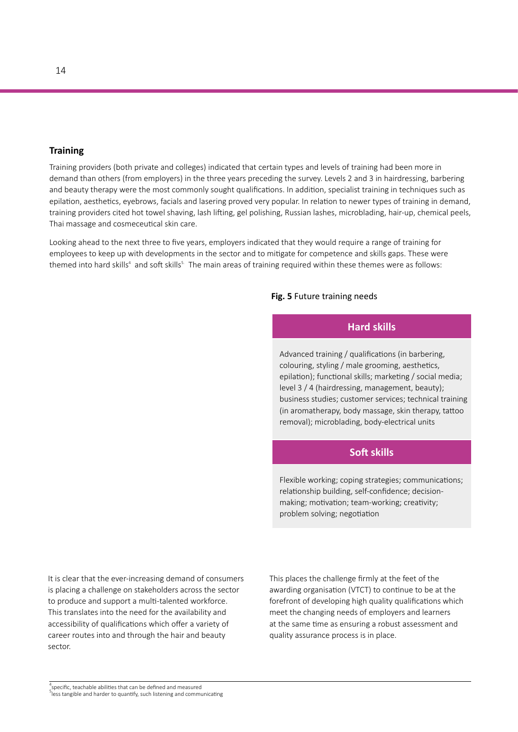#### **Training**

Training providers (both private and colleges) indicated that certain types and levels of training had been more in demand than others (from employers) in the three years preceding the survey. Levels 2 and 3 in hairdressing, barbering and beauty therapy were the most commonly sought qualifications. In addition, specialist training in techniques such as epilation, aesthetics, eyebrows, facials and lasering proved very popular. In relation to newer types of training in demand, training providers cited hot towel shaving, lash lifting, gel polishing, Russian lashes, microblading, hair-up, chemical peels, Thai massage and cosmeceutical skin care.

Looking ahead to the next three to five years, employers indicated that they would require a range of training for employees to keep up with developments in the sector and to mitigate for competence and skills gaps. These were themed into hard skills<sup>4</sup> and soft skills<sup>s.</sup> The main areas of training required within these themes were as follows:

#### **Fig. 5** Future training needs

#### **Hard skills**

Advanced training / qualifications (in barbering, colouring, styling / male grooming, aesthetics, epilation); functional skills; marketing / social media; level 3 / 4 (hairdressing, management, beauty); business studies; customer services; technical training (in aromatherapy, body massage, skin therapy, tattoo removal); microblading, body-electrical units

#### **Soft skills**

Flexible working; coping strategies; communications; relationship building, self-confidence; decisionmaking; motivation; team-working; creativity; problem solving; negotiation

It is clear that the ever-increasing demand of consumers is placing a challenge on stakeholders across the sector to produce and support a multi-talented workforce. This translates into the need for the availability and accessibility of qualifications which offer a variety of career routes into and through the hair and beauty sector.

This places the challenge firmly at the feet of the awarding organisation (VTCT) to continue to be at the forefront of developing high quality qualifications which meet the changing needs of employers and learners at the same time as ensuring a robust assessment and quality assurance process is in place.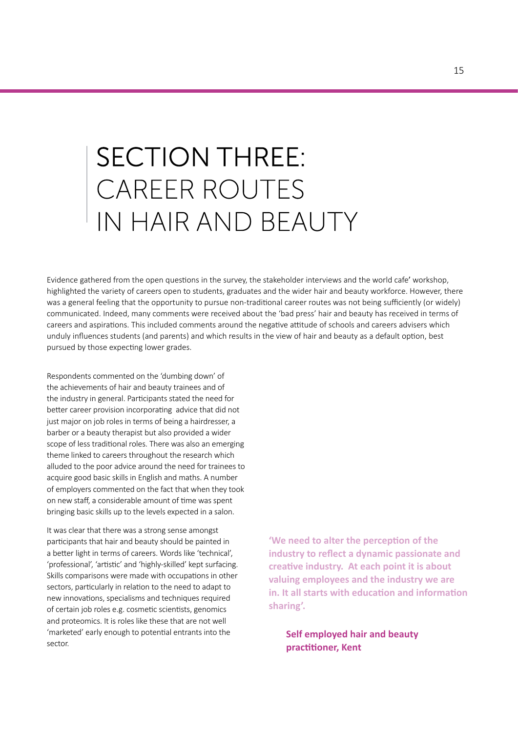## **SECTION THREE:** CAREER ROUTES IN HAIR AND BEAUTY

Evidence gathered from the open questions in the survey, the stakeholder interviews and the world cafe' workshop, highlighted the variety of careers open to students, graduates and the wider hair and beauty workforce. However, there was a general feeling that the opportunity to pursue non-traditional career routes was not being sufficiently (or widely) communicated. Indeed, many comments were received about the 'bad press' hair and beauty has received in terms of careers and aspirations. This included comments around the negative attitude of schools and careers advisers which unduly influences students (and parents) and which results in the view of hair and beauty as a default option, best pursued by those expecting lower grades.

Respondents commented on the 'dumbing down' of the achievements of hair and beauty trainees and of the industry in general. Participants stated the need for better career provision incorporating advice that did not just major on job roles in terms of being a hairdresser, a barber or a beauty therapist but also provided a wider scope of less traditional roles. There was also an emerging theme linked to careers throughout the research which alluded to the poor advice around the need for trainees to acquire good basic skills in English and maths. A number of employers commented on the fact that when they took on new staff, a considerable amount of time was spent bringing basic skills up to the levels expected in a salon.

It was clear that there was a strong sense amongst participants that hair and beauty should be painted in a better light in terms of careers. Words like 'technical', 'professional', 'artistic' and 'highly-skilled' kept surfacing. Skills comparisons were made with occupations in other sectors, particularly in relation to the need to adapt to new innovations, specialisms and techniques required of certain job roles e.g. cosmetic scientists, genomics and proteomics. It is roles like these that are not well 'marketed' early enough to potential entrants into the sector.

**'We need to alter the perception of the industry to reflect a dynamic passionate and creative industry. At each point it is about valuing employees and the industry we are in. It all starts with education and information sharing'.**

**Self employed hair and beauty practitioner, Kent**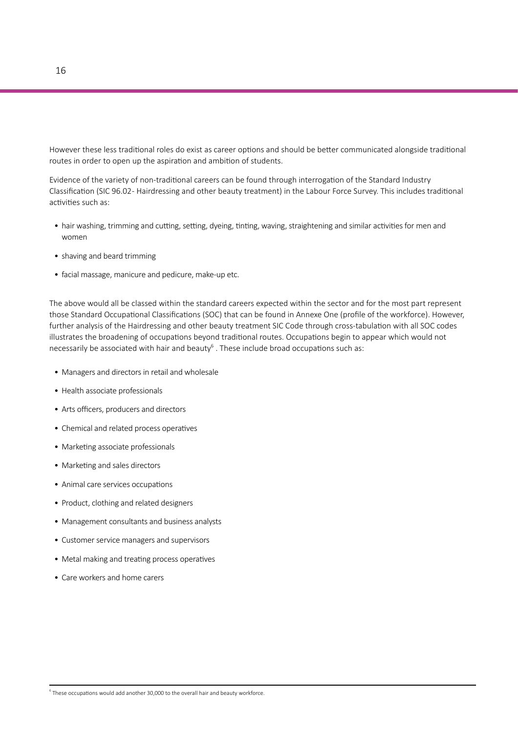However these less traditional roles do exist as career options and should be better communicated alongside traditional routes in order to open up the aspiration and ambition of students.

Evidence of the variety of non-traditional careers can be found through interrogation of the Standard Industry Classification (SIC 96.02 - Hairdressing and other beauty treatment) in the Labour Force Survey. This includes traditional activities such as:

- hair washing, trimming and cutting, setting, dyeing, tinting, waving, straightening and similar activities for men and women
- shaving and beard trimming
- facial massage, manicure and pedicure, make-up etc.

The above would all be classed within the standard careers expected within the sector and for the most part represent those Standard Occupational Classifications (SOC) that can be found in Annexe One (profile of the workforce). However, further analysis of the Hairdressing and other beauty treatment SIC Code through cross-tabulation with all SOC codes illustrates the broadening of occupations beyond traditional routes. Occupations begin to appear which would not necessarily be associated with hair and beauty<sup>6</sup> . These include broad occupations such as:

- Managers and directors in retail and wholesale
- Health associate professionals
- Arts officers, producers and directors
- Chemical and related process operatives
- Marketing associate professionals
- Marketing and sales directors
- Animal care services occupations
- Product, clothing and related designers
- Management consultants and business analysts
- Customer service managers and supervisors
- Metal making and treating process operatives
- Care workers and home carers

 $^6$  These occupations would add another 30,000 to the overall hair and beauty workforce.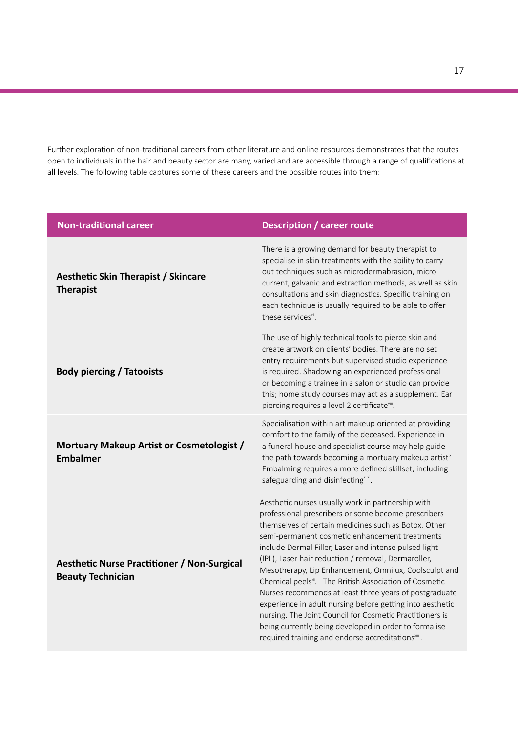Further exploration of non-traditional careers from other literature and online resources demonstrates that the routes open to individuals in the hair and beauty sector are many, varied and are accessible through a range of qualifications at all levels. The following table captures some of these careers and the possible routes into them:

| <b>Non-traditional career</b>                                                  | <b>Description / career route</b>                                                                                                                                                                                                                                                                                                                                                                                                                                                                                                                                                                                                                                                                                                                                               |
|--------------------------------------------------------------------------------|---------------------------------------------------------------------------------------------------------------------------------------------------------------------------------------------------------------------------------------------------------------------------------------------------------------------------------------------------------------------------------------------------------------------------------------------------------------------------------------------------------------------------------------------------------------------------------------------------------------------------------------------------------------------------------------------------------------------------------------------------------------------------------|
| <b>Aesthetic Skin Therapist / Skincare</b><br><b>Therapist</b>                 | There is a growing demand for beauty therapist to<br>specialise in skin treatments with the ability to carry<br>out techniques such as microdermabrasion, micro<br>current, galvanic and extraction methods, as well as skin<br>consultations and skin diagnostics. Specific training on<br>each technique is usually required to be able to offer<br>these services".                                                                                                                                                                                                                                                                                                                                                                                                          |
| <b>Body piercing / Tatooists</b>                                               | The use of highly technical tools to pierce skin and<br>create artwork on clients' bodies. There are no set<br>entry requirements but supervised studio experience<br>is required. Shadowing an experienced professional<br>or becoming a trainee in a salon or studio can provide<br>this; home study courses may act as a supplement. Ear<br>piercing requires a level 2 certificatevill.                                                                                                                                                                                                                                                                                                                                                                                     |
| Mortuary Makeup Artist or Cosmetologist /<br><b>Embalmer</b>                   | Specialisation within art makeup oriented at providing<br>comfort to the family of the deceased. Experience in<br>a funeral house and specialist course may help guide<br>the path towards becoming a mortuary makeup artist <sup>ix</sup><br>Embalming requires a more defined skillset, including<br>safeguarding and disinfecting <sup>x xi</sup> .                                                                                                                                                                                                                                                                                                                                                                                                                          |
| <b>Aesthetic Nurse Practitioner / Non-Surgical</b><br><b>Beauty Technician</b> | Aesthetic nurses usually work in partnership with<br>professional prescribers or some become prescribers<br>themselves of certain medicines such as Botox, Other<br>semi-permanent cosmetic enhancement treatments<br>include Dermal Filler, Laser and intense pulsed light<br>(IPL), Laser hair reduction / removal, Dermaroller,<br>Mesotherapy, Lip Enhancement, Omnilux, Coolsculpt and<br>Chemical peels <sup>xi</sup> . The British Association of Cosmetic<br>Nurses recommends at least three years of postgraduate<br>experience in adult nursing before getting into aesthetic<br>nursing. The Joint Council for Cosmetic Practitioners is<br>being currently being developed in order to formalise<br>required training and endorse accreditations <sup>xiii</sup> . |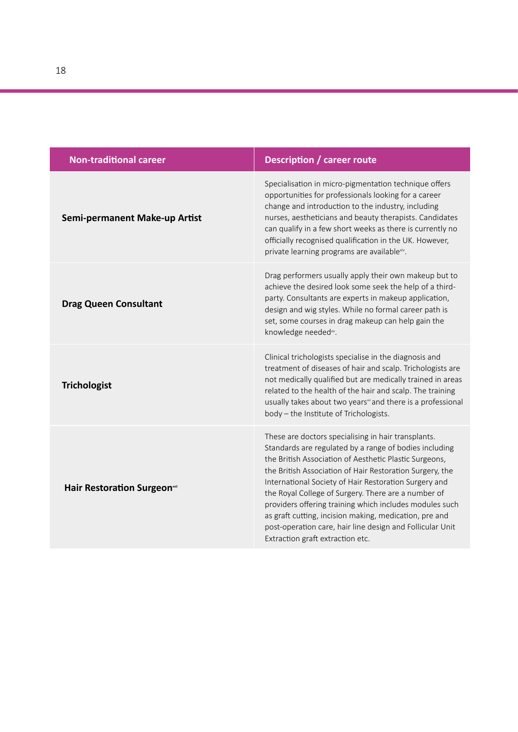| <b>Non-traditional career</b>         | <b>Description / career route</b>                                                                                                                                                                                                                                                                                                                                                                                                                                                                                                                                         |
|---------------------------------------|---------------------------------------------------------------------------------------------------------------------------------------------------------------------------------------------------------------------------------------------------------------------------------------------------------------------------------------------------------------------------------------------------------------------------------------------------------------------------------------------------------------------------------------------------------------------------|
| Semi-permanent Make-up Artist         | Specialisation in micro-pigmentation technique offers<br>opportunities for professionals looking for a career<br>change and introduction to the industry, including<br>nurses, aestheticians and beauty therapists. Candidates<br>can qualify in a few short weeks as there is currently no<br>officially recognised qualification in the UK. However,<br>private learning programs are availablexiv.                                                                                                                                                                     |
| <b>Drag Queen Consultant</b>          | Drag performers usually apply their own makeup but to<br>achieve the desired look some seek the help of a third-<br>party. Consultants are experts in makeup application,<br>design and wig styles. While no formal career path is<br>set, some courses in drag makeup can help gain the<br>knowledge needed <sup>xv</sup> .                                                                                                                                                                                                                                              |
| <b>Trichologist</b>                   | Clinical trichologists specialise in the diagnosis and<br>treatment of diseases of hair and scalp. Trichologists are<br>not medically qualified but are medically trained in areas<br>related to the health of the hair and scalp. The training<br>usually takes about two years <sup>xi</sup> and there is a professional<br>body - the Institute of Trichologists.                                                                                                                                                                                                      |
| Hair Restoration Surgeon <sup>*</sup> | These are doctors specialising in hair transplants.<br>Standards are regulated by a range of bodies including<br>the British Association of Aesthetic Plastic Surgeons,<br>the British Association of Hair Restoration Surgery, the<br>International Society of Hair Restoration Surgery and<br>the Royal College of Surgery. There are a number of<br>providers offering training which includes modules such<br>as graft cutting, incision making, medication, pre and<br>post-operation care, hair line design and Follicular Unit<br>Extraction graft extraction etc. |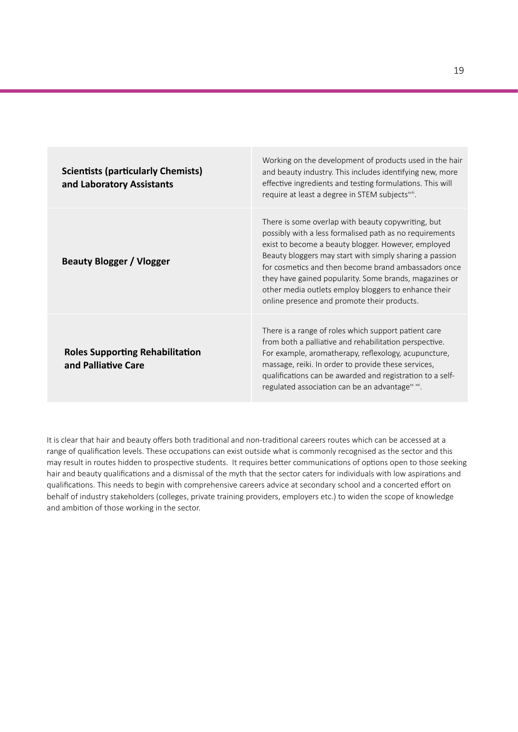| <b>Scientists (particularly Chemists)</b><br>and Laboratory Assistants | Working on the development of products used in the hair<br>and beauty industry. This includes identifying new, more<br>effective ingredients and testing formulations. This will<br>require at least a degree in STEM subjects <sup>xviii</sup> .                                                                                                                                                                                                        |
|------------------------------------------------------------------------|----------------------------------------------------------------------------------------------------------------------------------------------------------------------------------------------------------------------------------------------------------------------------------------------------------------------------------------------------------------------------------------------------------------------------------------------------------|
| <b>Beauty Blogger / Vlogger</b>                                        | There is some overlap with beauty copywriting, but<br>possibly with a less formalised path as no requirements<br>exist to become a beauty blogger. However, employed<br>Beauty bloggers may start with simply sharing a passion<br>for cosmetics and then become brand ambassadors once<br>they have gained popularity. Some brands, magazines or<br>other media outlets employ bloggers to enhance their<br>online presence and promote their products. |
| <b>Roles Supporting Rehabilitation</b><br>and Palliative Care          | There is a range of roles which support patient care<br>from both a palliative and rehabilitation perspective.<br>For example, aromatherapy, reflexology, acupuncture,<br>massage, reiki. In order to provide these services,<br>qualifications can be awarded and registration to a self-<br>regulated association can be an advantage <sup>x xxi</sup> .                                                                                               |

It is clear that hair and beauty offers both traditional and non-traditional careers routes which can be accessed at a range of qualification levels. These occupations can exist outside what is commonly recognised as the sector and this may result in routes hidden to prospective students. It requires better communications of options open to those seeking hair and beauty qualifications and a dismissal of the myth that the sector caters for individuals with low aspirations and qualifications. This needs to begin with comprehensive careers advice at secondary school and a concerted effort on behalf of industry stakeholders (colleges, private training providers, employers etc.) to widen the scope of knowledge and ambition of those working in the sector.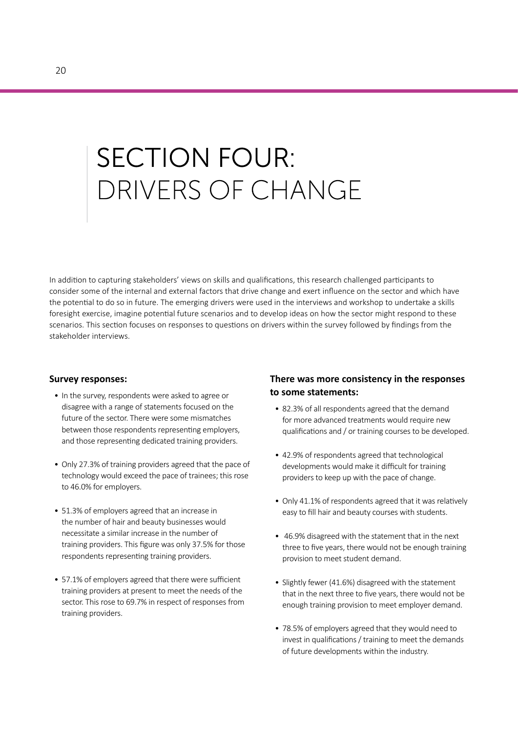# **SECTION FOUR:** DRIVERS OF CHANGE

In addition to capturing stakeholders' views on skills and qualifications, this research challenged participants to consider some of the internal and external factors that drive change and exert influence on the sector and which have the potential to do so in future. The emerging drivers were used in the interviews and workshop to undertake a skills foresight exercise, imagine potential future scenarios and to develop ideas on how the sector might respond to these scenarios. This section focuses on responses to questions on drivers within the survey followed by findings from the stakeholder interviews.

#### **Survey responses:**

- In the survey, respondents were asked to agree or disagree with a range of statements focused on the future of the sector. There were some mismatches between those respondents representing employers, and those representing dedicated training providers.
- Only 27.3% of training providers agreed that the pace of technology would exceed the pace of trainees; this rose to 46.0% for employers.
- 51.3% of employers agreed that an increase in the number of hair and beauty businesses would necessitate a similar increase in the number of training providers. This figure was only 37.5% for those respondents representing training providers.
- 57.1% of employers agreed that there were sufficient training providers at present to meet the needs of the sector. This rose to 69.7% in respect of responses from training providers.

#### **There was more consistency in the responses to some statements:**

- 82.3% of all respondents agreed that the demand for more advanced treatments would require new qualifications and / or training courses to be developed.
- 42.9% of respondents agreed that technological developments would make it difficult for training providers to keep up with the pace of change.
- Only 41.1% of respondents agreed that it was relatively easy to fill hair and beauty courses with students.
- 46.9% disagreed with the statement that in the next three to five years, there would not be enough training provision to meet student demand.
- Slightly fewer (41.6%) disagreed with the statement that in the next three to five years, there would not be enough training provision to meet employer demand.
- 78.5% of employers agreed that they would need to invest in qualifications / training to meet the demands of future developments within the industry.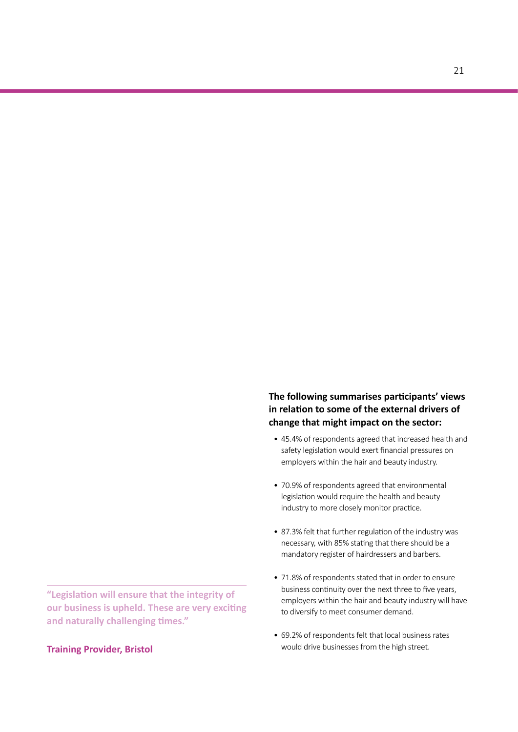#### **Training Provider, Bristol**

**The following summarises participants' views in relation to some of the external drivers of change that might impact on the sector:**

- 45.4% of respondents agreed that increased health and safety legislation would exert financial pressures on employers within the hair and beauty industry.
- 70.9% of respondents agreed that environmental legislation would require the health and beauty industry to more closely monitor practice.
- 87.3% felt that further regulation of the industry was necessary, with 85% stating that there should be a mandatory register of hairdressers and barbers.
- 71.8% of respondents stated that in order to ensure business continuity over the next three to five years, employers within the hair and beauty industry will have to diversify to meet consumer demand.
- 69.2% of respondents felt that local business rates would drive businesses from the high street.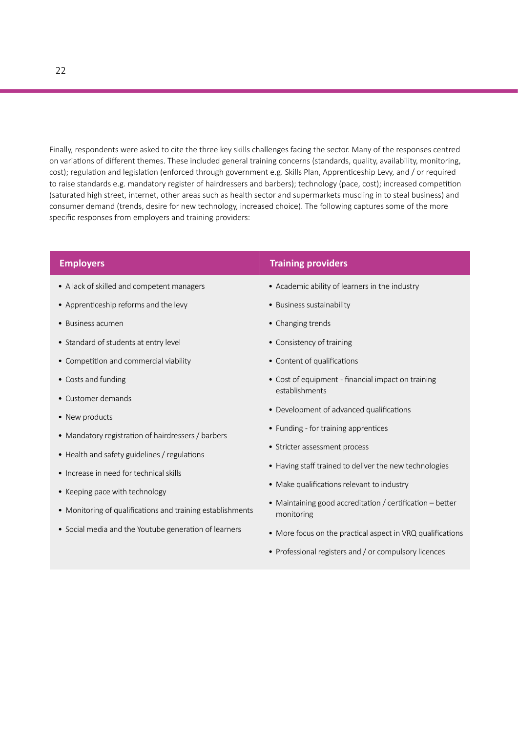Finally, respondents were asked to cite the three key skills challenges facing the sector. Many of the responses centred on variations of different themes. These included general training concerns (standards, quality, availability, monitoring, cost); regulation and legislation (enforced through government e.g. Skills Plan, Apprenticeship Levy, and / or required to raise standards e.g. mandatory register of hairdressers and barbers); technology (pace, cost); increased competition (saturated high street, internet, other areas such as health sector and supermarkets muscling in to steal business) and consumer demand (trends, desire for new technology, increased choice). The following captures some of the more specific responses from employers and training providers:

| <b>Employers</b>                                                                                                                                                                        | <b>Training providers</b>                                                                                                                                                       |
|-----------------------------------------------------------------------------------------------------------------------------------------------------------------------------------------|---------------------------------------------------------------------------------------------------------------------------------------------------------------------------------|
| • A lack of skilled and competent managers                                                                                                                                              | • Academic ability of learners in the industry                                                                                                                                  |
| • Apprenticeship reforms and the levy                                                                                                                                                   | • Business sustainability                                                                                                                                                       |
| • Business acumen                                                                                                                                                                       | • Changing trends                                                                                                                                                               |
| • Standard of students at entry level                                                                                                                                                   | • Consistency of training                                                                                                                                                       |
| • Competition and commercial viability                                                                                                                                                  | • Content of qualifications                                                                                                                                                     |
| • Costs and funding<br>• Customer demands                                                                                                                                               | • Cost of equipment - financial impact on training<br>establishments                                                                                                            |
| • New products                                                                                                                                                                          | • Development of advanced qualifications<br>• Funding - for training apprentices                                                                                                |
| • Mandatory registration of hairdressers / barbers                                                                                                                                      | • Stricter assessment process                                                                                                                                                   |
| • Health and safety guidelines / regulations<br>• Increase in need for technical skills<br>• Keeping pace with technology<br>• Monitoring of qualifications and training establishments | • Having staff trained to deliver the new technologies<br>• Make qualifications relevant to industry<br>• Maintaining good accreditation / certification - better<br>monitoring |
| • Social media and the Youtube generation of learners                                                                                                                                   | • More focus on the practical aspect in VRQ qualifications<br>• Professional registers and / or compulsory licences                                                             |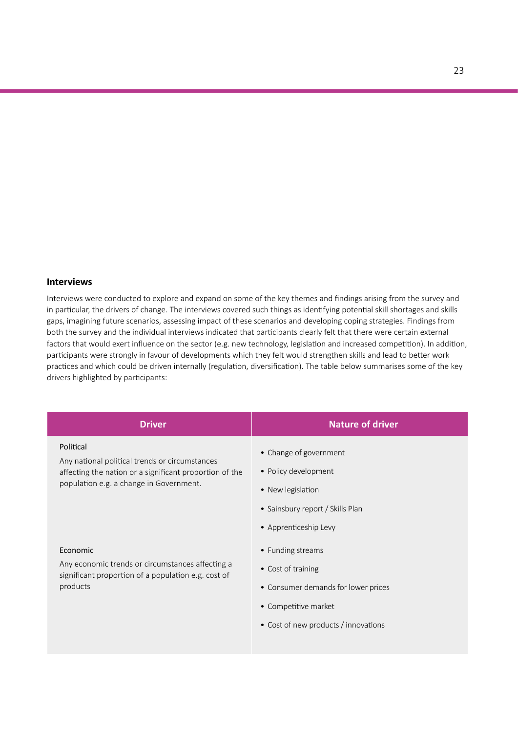#### **Interviews**

Interviews were conducted to explore and expand on some of the key themes and findings arising from the survey and in particular, the drivers of change. The interviews covered such things as identifying potential skill shortages and skills gaps, imagining future scenarios, assessing impact of these scenarios and developing coping strategies. Findings from both the survey and the individual interviews indicated that participants clearly felt that there were certain external factors that would exert influence on the sector (e.g. new technology, legislation and increased competition). In addition, participants were strongly in favour of developments which they felt would strengthen skills and lead to better work practices and which could be driven internally (regulation, diversification). The table below summarises some of the key drivers highlighted by participants:

| <b>Driver</b>                                                                                                                                                     | <b>Nature of driver</b>                                                                                                                        |
|-------------------------------------------------------------------------------------------------------------------------------------------------------------------|------------------------------------------------------------------------------------------------------------------------------------------------|
| Political<br>Any national political trends or circumstances<br>affecting the nation or a significant proportion of the<br>population e.g. a change in Government. | • Change of government<br>• Policy development<br>• New legislation<br>• Sainsbury report / Skills Plan<br>• Apprenticeship Levy               |
| Economic<br>Any economic trends or circumstances affecting a<br>significant proportion of a population e.g. cost of<br>products                                   | • Funding streams<br>• Cost of training<br>• Consumer demands for lower prices<br>• Competitive market<br>• Cost of new products / innovations |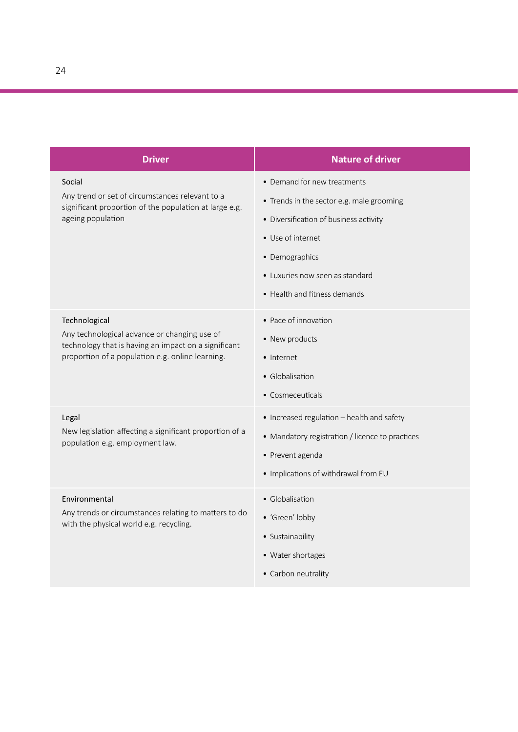| <b>Driver</b>                                                                                                                                                             | <b>Nature of driver</b>                                                                                                                                                                                                      |
|---------------------------------------------------------------------------------------------------------------------------------------------------------------------------|------------------------------------------------------------------------------------------------------------------------------------------------------------------------------------------------------------------------------|
| Social<br>Any trend or set of circumstances relevant to a<br>significant proportion of the population at large e.g.<br>ageing population                                  | • Demand for new treatments<br>• Trends in the sector e.g. male grooming<br>• Diversification of business activity<br>• Use of internet<br>• Demographics<br>• Luxuries now seen as standard<br>• Health and fitness demands |
| Technological<br>Any technological advance or changing use of<br>technology that is having an impact on a significant<br>proportion of a population e.g. online learning. | • Pace of innovation<br>• New products<br>• Internet<br>• Globalisation<br>• Cosmeceuticals                                                                                                                                  |
| Legal<br>New legislation affecting a significant proportion of a<br>population e.g. employment law.                                                                       | • Increased regulation - health and safety<br>• Mandatory registration / licence to practices<br>• Prevent agenda<br>· Implications of withdrawal from EU                                                                    |
| Environmental<br>Any trends or circumstances relating to matters to do<br>with the physical world e.g. recycling.                                                         | · Globalisation<br>• 'Green' lobby<br>• Sustainability<br>• Water shortages<br>• Carbon neutrality                                                                                                                           |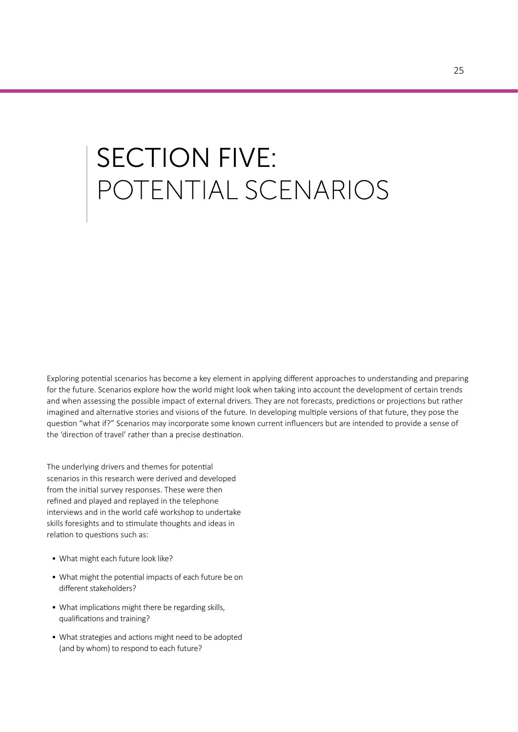# **SECTION FIVE:** POTENTIAL SCENARIOS

Exploring potential scenarios has become a key element in applying different approaches to understanding and preparing for the future. Scenarios explore how the world might look when taking into account the development of certain trends and when assessing the possible impact of external drivers. They are not forecasts, predictions or projections but rather imagined and alternative stories and visions of the future. In developing multiple versions of that future, they pose the question "what if?" Scenarios may incorporate some known current influencers but are intended to provide a sense of the 'direction of travel' rather than a precise destination.

The underlying drivers and themes for potential scenarios in this research were derived and developed from the initial survey responses. These were then refined and played and replayed in the telephone interviews and in the world café workshop to undertake skills foresights and to stimulate thoughts and ideas in relation to questions such as:

- What might each future look like?
- What might the potential impacts of each future be on different stakeholders?
- What implications might there be regarding skills, qualifications and training?
- What strategies and actions might need to be adopted (and by whom) to respond to each future?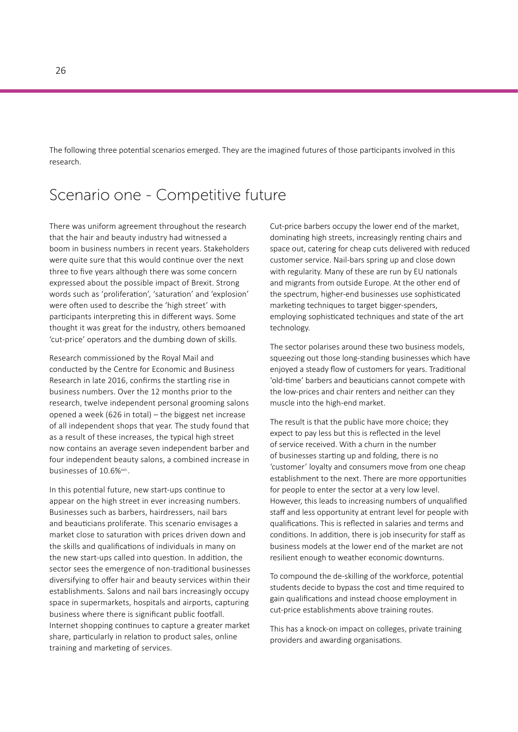The following three potential scenarios emerged. They are the imagined futures of those participants involved in this research.

### Scenario one - Competitive future

There was uniform agreement throughout the research that the hair and beauty industry had witnessed a boom in business numbers in recent years. Stakeholders were quite sure that this would continue over the next three to five years although there was some concern expressed about the possible impact of Brexit. Strong words such as 'proliferation', 'saturation' and 'explosion' were often used to describe the 'high street' with participants interpreting this in different ways. Some thought it was great for the industry, others bemoaned 'cut-price' operators and the dumbing down of skills.

Research commissioned by the Royal Mail and conducted by the Centre for Economic and Business Research in late 2016, confirms the startling rise in business numbers. Over the 12 months prior to the research, twelve independent personal grooming salons opened a week (626 in total) – the biggest net increase of all independent shops that year. The study found that as a result of these increases, the typical high street now contains an average seven independent barber and four independent beauty salons, a combined increase in businesses of 10.6%<sup>xxii.</sup>.

In this potential future, new start-ups continue to appear on the high street in ever increasing numbers. Businesses such as barbers, hairdressers, nail bars and beauticians proliferate. This scenario envisages a market close to saturation with prices driven down and the skills and qualifications of individuals in many on the new start-ups called into question. In addition, the sector sees the emergence of non-traditional businesses diversifying to offer hair and beauty services within their establishments. Salons and nail bars increasingly occupy space in supermarkets, hospitals and airports, capturing business where there is significant public footfall. Internet shopping continues to capture a greater market share, particularly in relation to product sales, online training and marketing of services.

Cut-price barbers occupy the lower end of the market, dominating high streets, increasingly renting chairs and space out, catering for cheap cuts delivered with reduced customer service. Nail-bars spring up and close down with regularity. Many of these are run by EU nationals and migrants from outside Europe. At the other end of the spectrum, higher-end businesses use sophisticated marketing techniques to target bigger-spenders, employing sophisticated techniques and state of the art technology.

The sector polarises around these two business models, squeezing out those long-standing businesses which have enjoyed a steady flow of customers for years. Traditional 'old-time' barbers and beauticians cannot compete with the low-prices and chair renters and neither can they muscle into the high-end market.

The result is that the public have more choice; they expect to pay less but this is reflected in the level of service received. With a churn in the number of businesses starting up and folding, there is no 'customer' loyalty and consumers move from one cheap establishment to the next. There are more opportunities for people to enter the sector at a very low level. However, this leads to increasing numbers of unqualified staff and less opportunity at entrant level for people with qualifications. This is reflected in salaries and terms and conditions. In addition, there is job insecurity for staff as business models at the lower end of the market are not resilient enough to weather economic downturns.

To compound the de-skilling of the workforce, potential students decide to bypass the cost and time required to gain qualifications and instead choose employment in cut-price establishments above training routes.

This has a knock-on impact on colleges, private training providers and awarding organisations.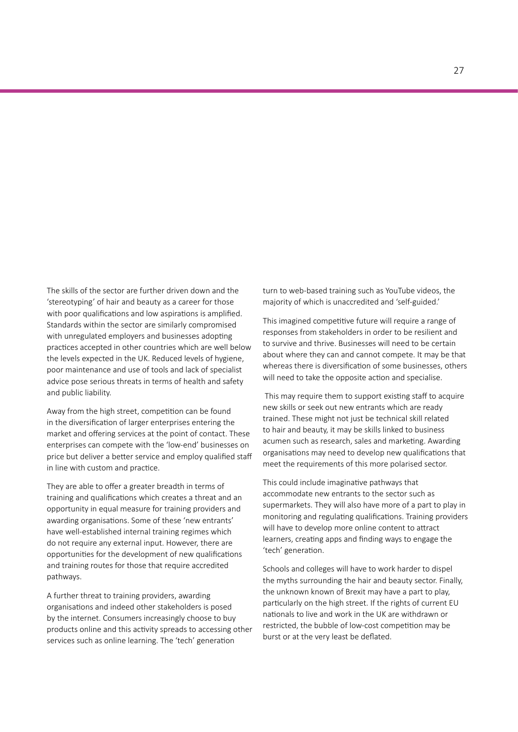The skills of the sector are further driven down and the 'stereotyping' of hair and beauty as a career for those with poor qualifications and low aspirations is amplified. Standards within the sector are similarly compromised with unregulated employers and businesses adopting practices accepted in other countries which are well below the levels expected in the UK. Reduced levels of hygiene, poor maintenance and use of tools and lack of specialist advice pose serious threats in terms of health and safety and public liability.

Away from the high street, competition can be found in the diversification of larger enterprises entering the market and offering services at the point of contact. These enterprises can compete with the 'low-end' businesses on price but deliver a better service and employ qualified staff in line with custom and practice.

They are able to offer a greater breadth in terms of training and qualifications which creates a threat and an opportunity in equal measure for training providers and awarding organisations. Some of these 'new entrants' have well-established internal training regimes which do not require any external input. However, there are opportunities for the development of new qualifications and training routes for those that require accredited pathways.

A further threat to training providers, awarding organisations and indeed other stakeholders is posed by the internet. Consumers increasingly choose to buy products online and this activity spreads to accessing other services such as online learning. The 'tech' generation

turn to web-based training such as YouTube videos, the majority of which is unaccredited and 'self-guided.'

This imagined competitive future will require a range of responses from stakeholders in order to be resilient and to survive and thrive. Businesses will need to be certain about where they can and cannot compete. It may be that whereas there is diversification of some businesses, others will need to take the opposite action and specialise.

 This may require them to support existing staff to acquire new skills or seek out new entrants which are ready trained. These might not just be technical skill related to hair and beauty, it may be skills linked to business acumen such as research, sales and marketing. Awarding organisations may need to develop new qualifications that meet the requirements of this more polarised sector.

This could include imaginative pathways that accommodate new entrants to the sector such as supermarkets. They will also have more of a part to play in monitoring and regulating qualifications. Training providers will have to develop more online content to attract learners, creating apps and finding ways to engage the 'tech' generation.

Schools and colleges will have to work harder to dispel the myths surrounding the hair and beauty sector. Finally, the unknown known of Brexit may have a part to play, particularly on the high street. If the rights of current EU nationals to live and work in the UK are withdrawn or restricted, the bubble of low-cost competition may be burst or at the very least be deflated.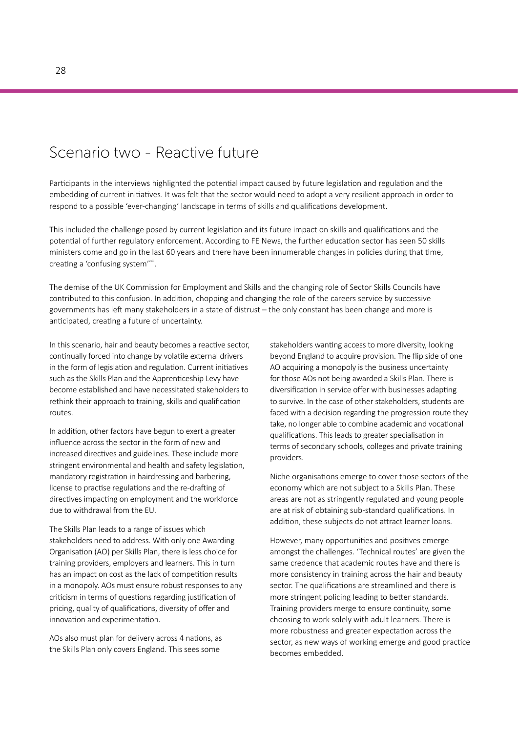### Scenario two - Reactive future

Participants in the interviews highlighted the potential impact caused by future legislation and regulation and the embedding of current initiatives. It was felt that the sector would need to adopt a very resilient approach in order to respond to a possible 'ever-changing' landscape in terms of skills and qualifications development.

This included the challenge posed by current legislation and its future impact on skills and qualifications and the potential of further regulatory enforcement. According to FE News, the further education sector has seen 50 skills ministers come and go in the last 60 years and there have been innumerable changes in policies during that time, creating a 'confusing system'<sup>xxiii</sup>.

The demise of the UK Commission for Employment and Skills and the changing role of Sector Skills Councils have contributed to this confusion. In addition, chopping and changing the role of the careers service by successive governments has left many stakeholders in a state of distrust – the only constant has been change and more is anticipated, creating a future of uncertainty.

In this scenario, hair and beauty becomes a reactive sector, continually forced into change by volatile external drivers in the form of legislation and regulation. Current initiatives such as the Skills Plan and the Apprenticeship Levy have become established and have necessitated stakeholders to rethink their approach to training, skills and qualification routes.

In addition, other factors have begun to exert a greater influence across the sector in the form of new and increased directives and guidelines. These include more stringent environmental and health and safety legislation, mandatory registration in hairdressing and barbering, license to practise regulations and the re-drafting of directives impacting on employment and the workforce due to withdrawal from the EU.

The Skills Plan leads to a range of issues which stakeholders need to address. With only one Awarding Organisation (AO) per Skills Plan, there is less choice for training providers, employers and learners. This in turn has an impact on cost as the lack of competition results in a monopoly. AOs must ensure robust responses to any criticism in terms of questions regarding justification of pricing, quality of qualifications, diversity of offer and innovation and experimentation.

AOs also must plan for delivery across 4 nations, as the Skills Plan only covers England. This sees some

stakeholders wanting access to more diversity, looking beyond England to acquire provision. The flip side of one AO acquiring a monopoly is the business uncertainty for those AOs not being awarded a Skills Plan. There is diversification in service offer with businesses adapting to survive. In the case of other stakeholders, students are faced with a decision regarding the progression route they take, no longer able to combine academic and vocational qualifications. This leads to greater specialisation in terms of secondary schools, colleges and private training providers.

Niche organisations emerge to cover those sectors of the economy which are not subject to a Skills Plan. These areas are not as stringently regulated and young people are at risk of obtaining sub-standard qualifications. In addition, these subjects do not attract learner loans.

However, many opportunities and positives emerge amongst the challenges. 'Technical routes' are given the same credence that academic routes have and there is more consistency in training across the hair and beauty sector. The qualifications are streamlined and there is more stringent policing leading to better standards. Training providers merge to ensure continuity, some choosing to work solely with adult learners. There is more robustness and greater expectation across the sector, as new ways of working emerge and good practice becomes embedded.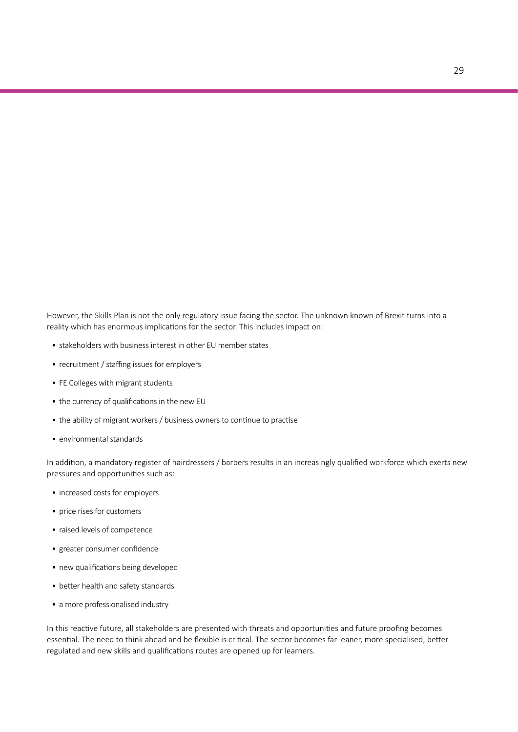However, the Skills Plan is not the only regulatory issue facing the sector. The unknown known of Brexit turns into a reality which has enormous implications for the sector. This includes impact on:

- stakeholders with business interest in other EU member states
- recruitment / staffing issues for employers
- FE Colleges with migrant students
- the currency of qualifications in the new EU
- the ability of migrant workers / business owners to continue to practise
- environmental standards

In addition, a mandatory register of hairdressers / barbers results in an increasingly qualified workforce which exerts new pressures and opportunities such as:

- increased costs for employers
- price rises for customers
- raised levels of competence
- greater consumer confidence
- new qualifications being developed
- better health and safety standards
- a more professionalised industry

In this reactive future, all stakeholders are presented with threats and opportunities and future proofing becomes essential. The need to think ahead and be flexible is critical. The sector becomes far leaner, more specialised, better regulated and new skills and qualifications routes are opened up for learners.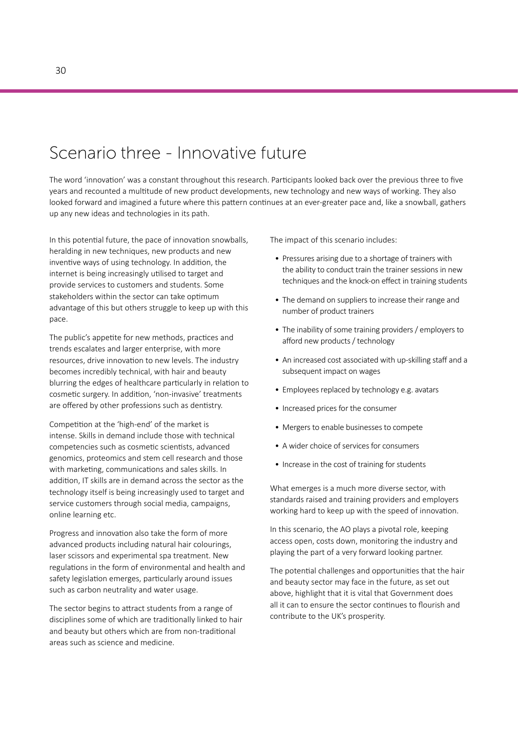### Scenario three - Innovative future

The word 'innovation' was a constant throughout this research. Participants looked back over the previous three to five years and recounted a multitude of new product developments, new technology and new ways of working. They also looked forward and imagined a future where this pattern continues at an ever-greater pace and, like a snowball, gathers up any new ideas and technologies in its path.

In this potential future, the pace of innovation snowballs, heralding in new techniques, new products and new inventive ways of using technology. In addition, the internet is being increasingly utilised to target and provide services to customers and students. Some stakeholders within the sector can take optimum advantage of this but others struggle to keep up with this pace.

The public's appetite for new methods, practices and trends escalates and larger enterprise, with more resources, drive innovation to new levels. The industry becomes incredibly technical, with hair and beauty blurring the edges of healthcare particularly in relation to cosmetic surgery. In addition, 'non-invasive' treatments are offered by other professions such as dentistry.

Competition at the 'high-end' of the market is intense. Skills in demand include those with technical competencies such as cosmetic scientists, advanced genomics, proteomics and stem cell research and those with marketing, communications and sales skills. In addition, IT skills are in demand across the sector as the technology itself is being increasingly used to target and service customers through social media, campaigns, online learning etc.

Progress and innovation also take the form of more advanced products including natural hair colourings, laser scissors and experimental spa treatment. New regulations in the form of environmental and health and safety legislation emerges, particularly around issues such as carbon neutrality and water usage.

The sector begins to attract students from a range of disciplines some of which are traditionally linked to hair and beauty but others which are from non-traditional areas such as science and medicine.

The impact of this scenario includes:

- Pressures arising due to a shortage of trainers with the ability to conduct train the trainer sessions in new techniques and the knock-on effect in training students
- The demand on suppliers to increase their range and number of product trainers
- The inability of some training providers / employers to afford new products / technology
- An increased cost associated with up-skilling staff and a subsequent impact on wages
- Employees replaced by technology e.g. avatars
- Increased prices for the consumer
- Mergers to enable businesses to compete
- A wider choice of services for consumers
- Increase in the cost of training for students

What emerges is a much more diverse sector, with standards raised and training providers and employers working hard to keep up with the speed of innovation.

In this scenario, the AO plays a pivotal role, keeping access open, costs down, monitoring the industry and playing the part of a very forward looking partner.

The potential challenges and opportunities that the hair and beauty sector may face in the future, as set out above, highlight that it is vital that Government does all it can to ensure the sector continues to flourish and contribute to the UK's prosperity.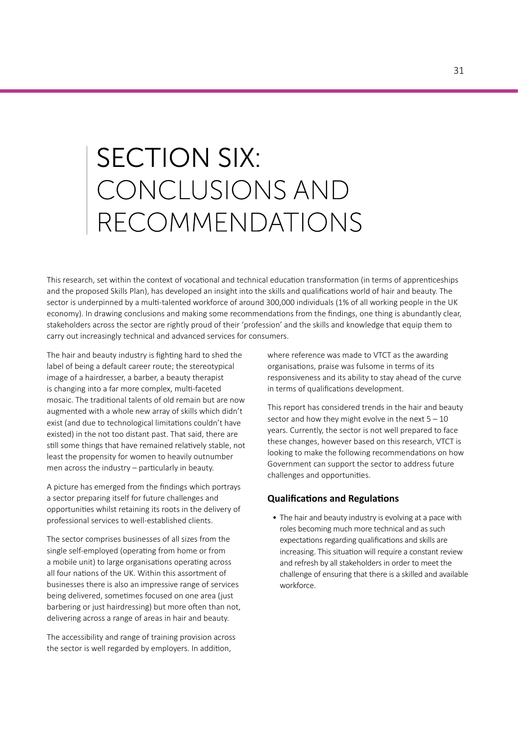## **SECTION SIX:** CONCLUSIONS AND RECOMMENDATIONS

This research, set within the context of vocational and technical education transformation (in terms of apprenticeships and the proposed Skills Plan), has developed an insight into the skills and qualifications world of hair and beauty. The sector is underpinned by a multi-talented workforce of around 300,000 individuals (1% of all working people in the UK economy). In drawing conclusions and making some recommendations from the findings, one thing is abundantly clear, stakeholders across the sector are rightly proud of their 'profession' and the skills and knowledge that equip them to carry out increasingly technical and advanced services for consumers.

The hair and beauty industry is fighting hard to shed the label of being a default career route; the stereotypical image of a hairdresser, a barber, a beauty therapist is changing into a far more complex, multi-faceted mosaic. The traditional talents of old remain but are now augmented with a whole new array of skills which didn't exist (and due to technological limitations couldn't have existed) in the not too distant past. That said, there are still some things that have remained relatively stable, not least the propensity for women to heavily outnumber men across the industry – particularly in beauty.

A picture has emerged from the findings which portrays a sector preparing itself for future challenges and opportunities whilst retaining its roots in the delivery of professional services to well-established clients.

The sector comprises businesses of all sizes from the single self-employed (operating from home or from a mobile unit) to large organisations operating across all four nations of the UK. Within this assortment of businesses there is also an impressive range of services being delivered, sometimes focused on one area (just barbering or just hairdressing) but more often than not, delivering across a range of areas in hair and beauty.

The accessibility and range of training provision across the sector is well regarded by employers. In addition,

where reference was made to VTCT as the awarding organisations, praise was fulsome in terms of its responsiveness and its ability to stay ahead of the curve in terms of qualifications development.

This report has considered trends in the hair and beauty sector and how they might evolve in the next  $5 - 10$ years. Currently, the sector is not well prepared to face these changes, however based on this research, VTCT is looking to make the following recommendations on how Government can support the sector to address future challenges and opportunities.

#### **Qualifications and Regulations**

• The hair and beauty industry is evolving at a pace with roles becoming much more technical and as such expectations regarding qualifications and skills are increasing. This situation will require a constant review and refresh by all stakeholders in order to meet the challenge of ensuring that there is a skilled and available workforce.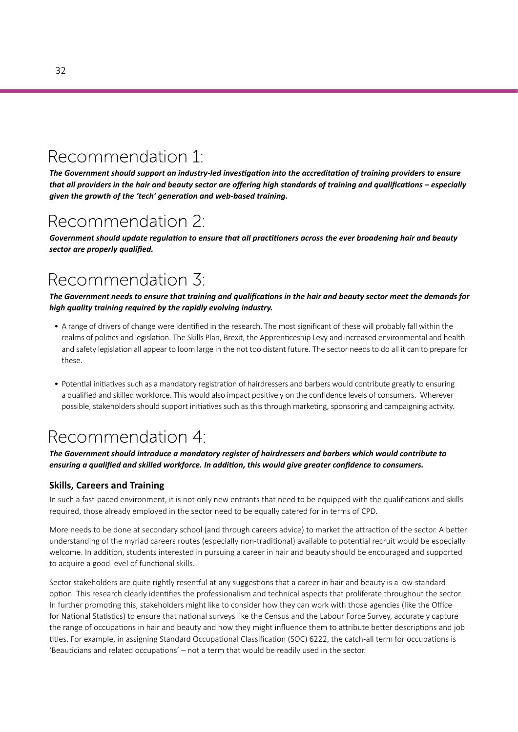## Recommendation 1:

*The Government should support an industry-led investigation into the accreditation of training providers to ensure that all providers in the hair and beauty sector are offering high standards of training and qualifications – especially given the growth of the 'tech' generation and web-based training.* 

### Recommendation 2:

*Government should update regulation to ensure that all practitioners across the ever broadening hair and beauty sector are properly qualified.* 

## Recommendation 3:

*The Government needs to ensure that training and qualifications in the hair and beauty sector meet the demands for high quality training required by the rapidly evolving industry.*

- A range of drivers of change were identified in the research. The most significant of these will probably fall within the realms of politics and legislation. The Skills Plan, Brexit, the Apprenticeship Levy and increased environmental and health and safety legislation all appear to loom large in the not too distant future. The sector needs to do all it can to prepare for these.
- Potential initiatives such as a mandatory registration of hairdressers and barbers would contribute greatly to ensuring a qualified and skilled workforce. This would also impact positively on the confidence levels of consumers. Wherever possible, stakeholders should support initiatives such as this through marketing, sponsoring and campaigning activity.

## Recommendation 4:

*The Government should introduce a mandatory register of hairdressers and barbers which would contribute to ensuring a qualified and skilled workforce. In addition, this would give greater confidence to consumers.*

#### **Skills, Careers and Training**

In such a fast-paced environment, it is not only new entrants that need to be equipped with the qualifications and skills required, those already employed in the sector need to be equally catered for in terms of CPD.

More needs to be done at secondary school (and through careers advice) to market the attraction of the sector. A better understanding of the myriad careers routes (especially non-traditional) available to potential recruit would be especially welcome. In addition, students interested in pursuing a career in hair and beauty should be encouraged and supported to acquire a good level of functional skills.

Sector stakeholders are quite rightly resentful at any suggestions that a career in hair and beauty is a low-standard option. This research clearly identifies the professionalism and technical aspects that proliferate throughout the sector. In further promoting this, stakeholders might like to consider how they can work with those agencies (like the Office for National Statistics) to ensure that national surveys like the Census and the Labour Force Survey, accurately capture the range of occupations in hair and beauty and how they might influence them to attribute better descriptions and job titles. For example, in assigning Standard Occupational Classification (SOC) 6222, the catch-all term for occupations is 'Beauticians and related occupations' – not a term that would be readily used in the sector.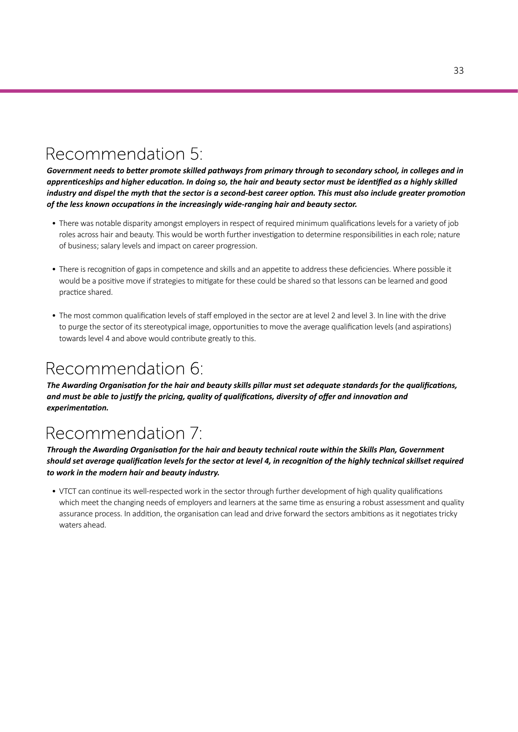## Recommendation 5:

*Government needs to better promote skilled pathways from primary through to secondary school, in colleges and in apprenticeships and higher education. In doing so, the hair and beauty sector must be identified as a highly skilled industry and dispel the myth that the sector is a second-best career option. This must also include greater promotion of the less known occupations in the increasingly wide-ranging hair and beauty sector.*

- There was notable disparity amongst employers in respect of required minimum qualifications levels for a variety of job roles across hair and beauty. This would be worth further investigation to determine responsibilities in each role; nature of business; salary levels and impact on career progression.
- There is recognition of gaps in competence and skills and an appetite to address these deficiencies. Where possible it would be a positive move if strategies to mitigate for these could be shared so that lessons can be learned and good practice shared.
- The most common qualification levels of staff employed in the sector are at level 2 and level 3. In line with the drive to purge the sector of its stereotypical image, opportunities to move the average qualification levels (and aspirations) towards level 4 and above would contribute greatly to this.

## Recommendation 6:

*The Awarding Organisation for the hair and beauty skills pillar must set adequate standards for the qualifications, and must be able to justify the pricing, quality of qualifications, diversity of offer and innovation and experimentation.* 

## Recommendation 7:

*Through the Awarding Organisation for the hair and beauty technical route within the Skills Plan, Government should set average qualification levels for the sector at level 4, in recognition of the highly technical skillset required to work in the modern hair and beauty industry.*

• VTCT can continue its well-respected work in the sector through further development of high quality qualifications which meet the changing needs of employers and learners at the same time as ensuring a robust assessment and quality assurance process. In addition, the organisation can lead and drive forward the sectors ambitions as it negotiates tricky waters ahead.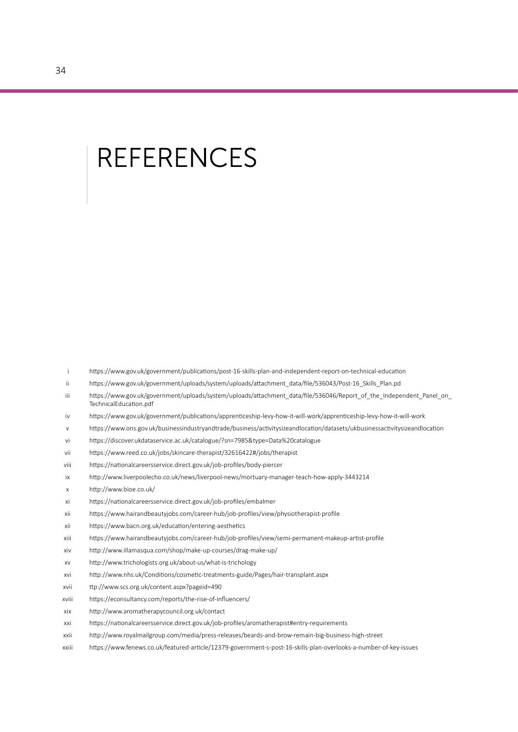## **REFERENCES**

- i https://www.gov.uk/government/publications/post-16-skills-plan-and-independent-report-on-technical-education
- ii https://www.gov.uk/government/uploads/system/uploads/attachment\_data/file/536043/Post-16\_Skills\_Plan.pd
- iii https://www.gov.uk/government/uploads/system/uploads/attachment\_data/file/536046/Report\_of\_the\_Independent\_Panel\_on TechnicalEducation.pdf
- iv https://www.gov.uk/government/publications/apprenticeship-levy-how-it-will-work/apprenticeship-levy-how-it-will-work
- v https://www.ons.gov.uk/businessindustryandtrade/business/activitysizeandlocation/datasets/ukbusinessactivitysizeandlocation
- vi https://discover.ukdataservice.ac.uk/catalogue/?sn=7985&type=Data%20catalogue
- vii https://www.reed.co.uk/jobs/skincare-therapist/32616422#/jobs/therapist
- viii https://nationalcareersservice.direct.gov.uk/job-profiles/body-piercer
- ix http://www.liverpoolecho.co.uk/news/liverpool-news/mortuary-manager-teach-how-apply-3443214
- x http://www.bioe.co.uk/
- xi https://nationalcareersservice.direct.gov.uk/job-profiles/embalmer
- xii https://www.hairandbeautyjobs.com/career-hub/job-profiles/view/physiotherapist-profile
- xii https://www.bacn.org.uk/education/entering-aesthetics
- xiii https://www.hairandbeautyjobs.com/career-hub/job-profiles/view/semi-permanent-makeup-artist-profile
- xiv http://www.illamasqua.com/shop/make-up-courses/drag-make-up/
- xv http://www.trichologists.org.uk/about-us/what-is-trichology
- xvi http://www.nhs.uk/Conditions/cosmetic-treatments-guide/Pages/hair-transplant.aspx
- xvii ttp://www.scs.org.uk/content.aspx?pageid=490
- xviii https://econsultancy.com/reports/the-rise-of-influencers/
- xix http://www.aromatherapycouncil.org.uk/contact
- xxi https://nationalcareersservice.direct.gov.uk/job-profiles/aromatherapist#entry-requirements
- xxii http://www.royalmailgroup.com/media/press-releases/beards-and-brow-remain-big-business-high-street
- xxiii https://www.fenews.co.uk/featured-article/12379-government-s-post-16-skills-plan-overlooks-a-number-of-key-issues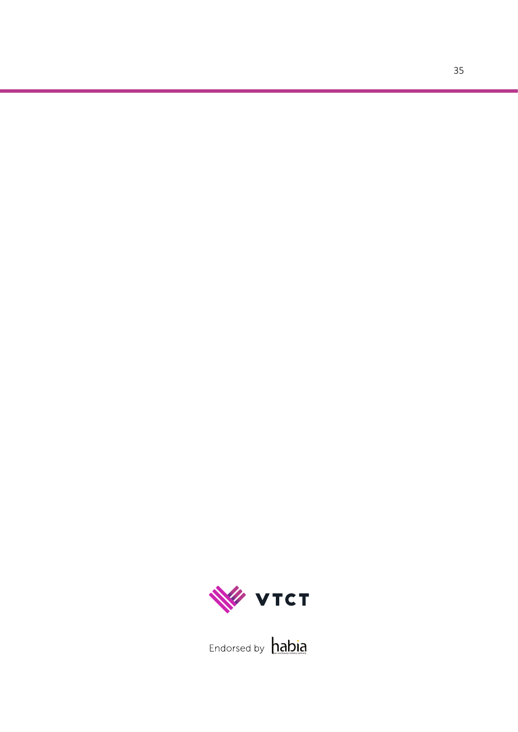

hair and beauty industry authority